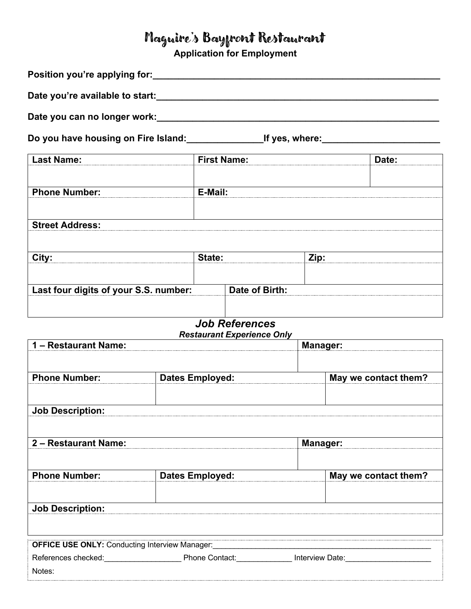## Maguire's Bayfront Restaurant

**Application for Employment**

| Position you're applying for: Network and the setting of the setting of the setting of the setting of the setting of the setting of the setting of the setting of the setting of the setting of the setting of the setting of |                                   |                        |  |                                                                                   |  |
|-------------------------------------------------------------------------------------------------------------------------------------------------------------------------------------------------------------------------------|-----------------------------------|------------------------|--|-----------------------------------------------------------------------------------|--|
| Date you're available to start:                                                                                                                                                                                               |                                   |                        |  |                                                                                   |  |
|                                                                                                                                                                                                                               |                                   |                        |  |                                                                                   |  |
| Do you have housing on Fire Island: ______________________If yes, where: ______________                                                                                                                                       |                                   |                        |  |                                                                                   |  |
| <b>Last Name:</b>                                                                                                                                                                                                             |                                   | <b>First Name:</b>     |  | Date:                                                                             |  |
|                                                                                                                                                                                                                               |                                   |                        |  |                                                                                   |  |
| <b>Phone Number:</b>                                                                                                                                                                                                          |                                   | E-Mail:                |  |                                                                                   |  |
| <b>Street Address:</b>                                                                                                                                                                                                        |                                   |                        |  |                                                                                   |  |
|                                                                                                                                                                                                                               |                                   |                        |  |                                                                                   |  |
| City:                                                                                                                                                                                                                         |                                   | State:                 |  | Zip:                                                                              |  |
|                                                                                                                                                                                                                               |                                   |                        |  |                                                                                   |  |
| Last four digits of your S.S. number:                                                                                                                                                                                         |                                   | Date of Birth:         |  |                                                                                   |  |
|                                                                                                                                                                                                                               |                                   | <b>Job References</b>  |  |                                                                                   |  |
| 1 - Restaurant Name:                                                                                                                                                                                                          | <b>Restaurant Experience Only</b> | <b>Manager:</b>        |  |                                                                                   |  |
|                                                                                                                                                                                                                               |                                   |                        |  |                                                                                   |  |
| <b>Phone Number:</b>                                                                                                                                                                                                          |                                   | <b>Dates Employed:</b> |  | May we contact them?                                                              |  |
| <b>Job Description:</b>                                                                                                                                                                                                       |                                   |                        |  |                                                                                   |  |
|                                                                                                                                                                                                                               |                                   |                        |  |                                                                                   |  |
| 2 - Restaurant Name:                                                                                                                                                                                                          |                                   |                        |  | <b>Manager:</b>                                                                   |  |
| <b>Phone Number:</b>                                                                                                                                                                                                          |                                   | <b>Dates Employed:</b> |  | May we contact them?                                                              |  |
|                                                                                                                                                                                                                               |                                   |                        |  |                                                                                   |  |
| <b>Job Description:</b>                                                                                                                                                                                                       |                                   |                        |  |                                                                                   |  |
|                                                                                                                                                                                                                               |                                   |                        |  |                                                                                   |  |
| <b>OFFICE USE ONLY: Conducting Interview Manager:</b>                                                                                                                                                                         |                                   |                        |  |                                                                                   |  |
| Notes:                                                                                                                                                                                                                        |                                   |                        |  | References checked: Phone Contact: _____________ Interview Date: ________________ |  |
|                                                                                                                                                                                                                               |                                   |                        |  |                                                                                   |  |